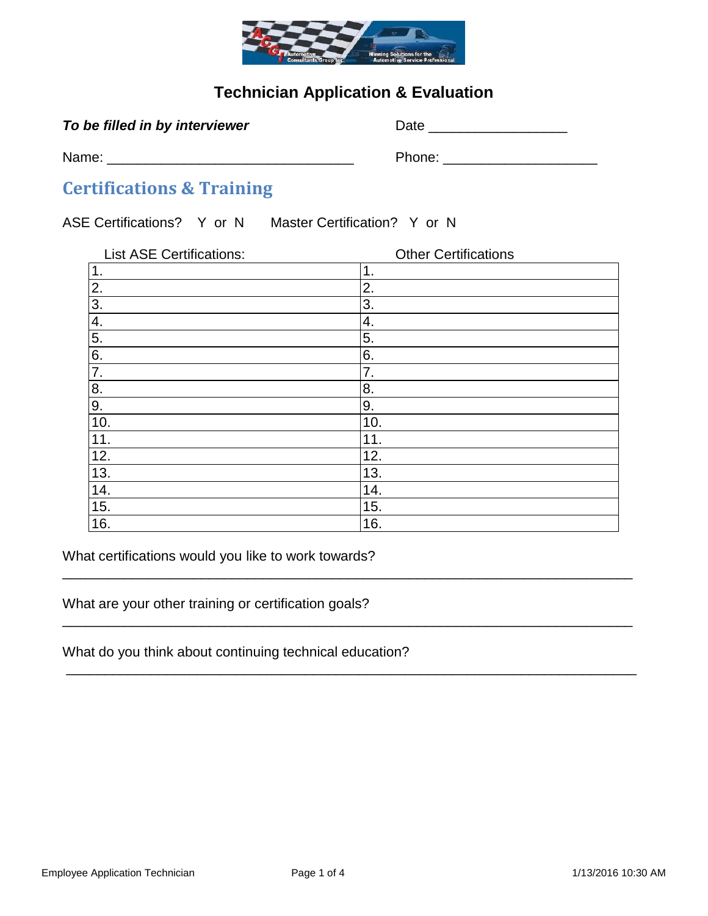

### **Technician Application & Evaluation**

|  |  |  | To be filled in by interviewer |
|--|--|--|--------------------------------|
|  |  |  |                                |

*To be filled in the filled in be filled in bate* **Lemma and** *Date* **<u>Lemma and</u>** *Date* **Lemma and** *Lemma and Lemma and Lemma and Lemma and Lemma and Lemma and Lemma and Lemma and Lemma and Lemma and Lemma and Lemma and Lemm* 

Name: \_\_\_\_\_\_\_\_\_\_\_\_\_\_\_\_\_\_\_\_\_\_\_\_\_\_\_\_\_\_\_\_ Phone: \_\_\_\_\_\_\_\_\_\_\_\_\_\_\_\_\_\_\_\_

## **Certifications & Training**

ASE Certifications? Y or N Master Certification? Y or N

| <b>List ASE Certifications:</b> | <b>Other Certifications</b> |  |  |  |
|---------------------------------|-----------------------------|--|--|--|
| 1.                              | 1.                          |  |  |  |
| $\overline{2}$ .                | 2.                          |  |  |  |
| $\overline{3}$ .                | 3.                          |  |  |  |
| 4.                              | 4.                          |  |  |  |
| $\overline{5}$ .                | 5.                          |  |  |  |
| 6.                              | 6.                          |  |  |  |
| $\overline{7}$ .                | 7.                          |  |  |  |
| $\frac{8}{9}$                   | 8.                          |  |  |  |
|                                 | 9.                          |  |  |  |
| 10.                             | 10.                         |  |  |  |
| 11.                             | 11.                         |  |  |  |
| 12.                             | 12.                         |  |  |  |
| 13.                             | 13.                         |  |  |  |
| 14.                             | 14.                         |  |  |  |
| 15.                             | 15.                         |  |  |  |
| 16.                             | 16.                         |  |  |  |

\_\_\_\_\_\_\_\_\_\_\_\_\_\_\_\_\_\_\_\_\_\_\_\_\_\_\_\_\_\_\_\_\_\_\_\_\_\_\_\_\_\_\_\_\_\_\_\_\_\_\_\_\_\_\_\_\_\_\_\_\_\_\_\_\_\_\_\_\_\_\_\_\_\_

\_\_\_\_\_\_\_\_\_\_\_\_\_\_\_\_\_\_\_\_\_\_\_\_\_\_\_\_\_\_\_\_\_\_\_\_\_\_\_\_\_\_\_\_\_\_\_\_\_\_\_\_\_\_\_\_\_\_\_\_\_\_\_\_\_\_\_\_\_\_\_\_\_\_

\_\_\_\_\_\_\_\_\_\_\_\_\_\_\_\_\_\_\_\_\_\_\_\_\_\_\_\_\_\_\_\_\_\_\_\_\_\_\_\_\_\_\_\_\_\_\_\_\_\_\_\_\_\_\_\_\_\_\_\_\_\_\_\_\_\_\_\_\_\_\_\_\_\_

What certifications would you like to work towards?

What are your other training or certification goals?

What do you think about continuing technical education?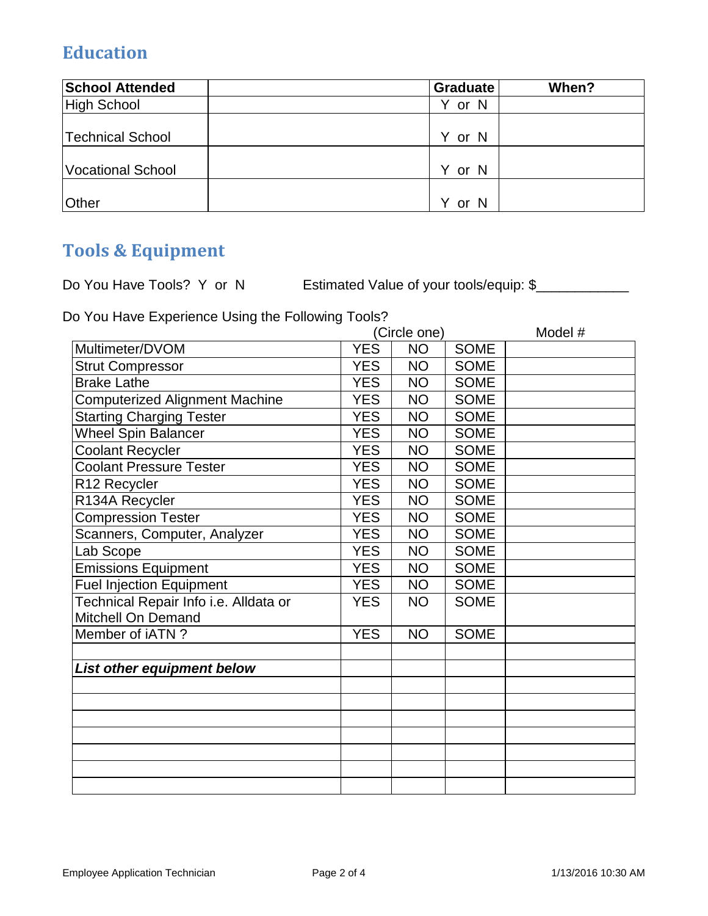# **Education**

| <b>School Attended</b>   | <b>Graduate</b> | When? |
|--------------------------|-----------------|-------|
| High School              | or N            |       |
| <b>Technical School</b>  | Y or N          |       |
| <b>Vocational School</b> | Y or N          |       |
| <b>Other</b>             | Y or N          |       |

# **Tools & Equipment**

Do You Have Tools? Y or N Estimated Value of your tools/equip: \$

Do You Have Experience Using the Following Tools?

|                                       | (Circle one) |           | Model #     |  |
|---------------------------------------|--------------|-----------|-------------|--|
| Multimeter/DVOM                       | <b>YES</b>   | <b>NO</b> | <b>SOME</b> |  |
| <b>Strut Compressor</b>               | <b>YES</b>   | <b>NO</b> | <b>SOME</b> |  |
| <b>Brake Lathe</b>                    | <b>YES</b>   | <b>NO</b> | <b>SOME</b> |  |
| Computerized Alignment Machine        | <b>YES</b>   | <b>NO</b> | <b>SOME</b> |  |
| <b>Starting Charging Tester</b>       | <b>YES</b>   | <b>NO</b> | <b>SOME</b> |  |
| <b>Wheel Spin Balancer</b>            | <b>YES</b>   | <b>NO</b> | <b>SOME</b> |  |
| <b>Coolant Recycler</b>               | <b>YES</b>   | <b>NO</b> | <b>SOME</b> |  |
| <b>Coolant Pressure Tester</b>        | <b>YES</b>   | <b>NO</b> | <b>SOME</b> |  |
| R12 Recycler                          | <b>YES</b>   | <b>NO</b> | <b>SOME</b> |  |
| R134A Recycler                        | <b>YES</b>   | <b>NO</b> | <b>SOME</b> |  |
| <b>Compression Tester</b>             | <b>YES</b>   | <b>NO</b> | <b>SOME</b> |  |
| Scanners, Computer, Analyzer          | <b>YES</b>   | <b>NO</b> | <b>SOME</b> |  |
| Lab Scope                             | <b>YES</b>   | <b>NO</b> | <b>SOME</b> |  |
| <b>Emissions Equipment</b>            | <b>YES</b>   | <b>NO</b> | <b>SOME</b> |  |
| <b>Fuel Injection Equipment</b>       | <b>YES</b>   | <b>NO</b> | <b>SOME</b> |  |
| Technical Repair Info i.e. Alldata or | <b>YES</b>   | <b>NO</b> | <b>SOME</b> |  |
| Mitchell On Demand                    |              |           |             |  |
| Member of iATN?                       | <b>YES</b>   | <b>NO</b> | <b>SOME</b> |  |
|                                       |              |           |             |  |
| List other equipment below            |              |           |             |  |
|                                       |              |           |             |  |
|                                       |              |           |             |  |
|                                       |              |           |             |  |
|                                       |              |           |             |  |
|                                       |              |           |             |  |
|                                       |              |           |             |  |
|                                       |              |           |             |  |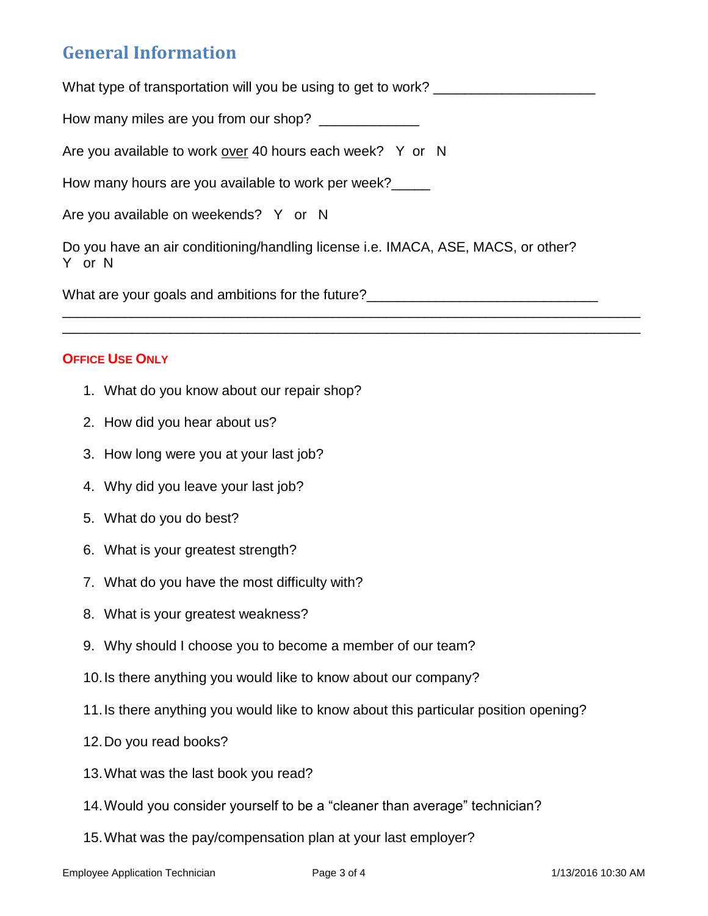## **General Information**

What type of transportation will you be using to get to work? \_\_\_\_\_\_\_\_\_\_\_\_\_\_\_\_\_\_

How many miles are you from our shop? \_\_\_\_\_\_\_\_\_\_\_\_\_\_

Are you available to work over 40 hours each week? Y or N

How many hours are you available to work per week?\_\_\_\_

Are you available on weekends? Y or N

Do you have an air conditioning/handling license i.e. IMACA, ASE, MACS, or other? Y or N

\_\_\_\_\_\_\_\_\_\_\_\_\_\_\_\_\_\_\_\_\_\_\_\_\_\_\_\_\_\_\_\_\_\_\_\_\_\_\_\_\_\_\_\_\_\_\_\_\_\_\_\_\_\_\_\_\_\_\_\_\_\_\_\_\_\_\_\_\_\_\_\_\_\_\_ \_\_\_\_\_\_\_\_\_\_\_\_\_\_\_\_\_\_\_\_\_\_\_\_\_\_\_\_\_\_\_\_\_\_\_\_\_\_\_\_\_\_\_\_\_\_\_\_\_\_\_\_\_\_\_\_\_\_\_\_\_\_\_\_\_\_\_\_\_\_\_\_\_\_\_

What are your goals and ambitions for the future?

#### **OFFICE USE ONLY**

- 1. What do you know about our repair shop?
- 2. How did you hear about us?
- 3. How long were you at your last job?
- 4. Why did you leave your last job?
- 5. What do you do best?
- 6. What is your greatest strength?
- 7. What do you have the most difficulty with?
- 8. What is your greatest weakness?
- 9. Why should I choose you to become a member of our team?
- 10.Is there anything you would like to know about our company?
- 11.Is there anything you would like to know about this particular position opening?
- 12.Do you read books?
- 13.What was the last book you read?
- 14.Would you consider yourself to be a "cleaner than average" technician?
- 15.What was the pay/compensation plan at your last employer?